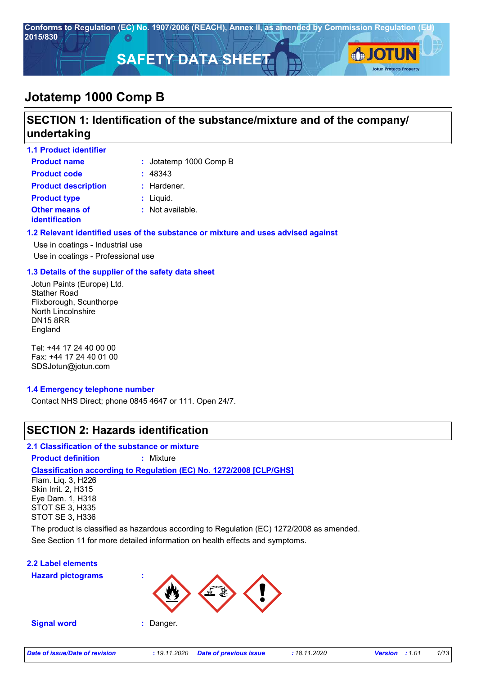

## **SECTION 1: Identification of the substance/mixture and of the company/ undertaking**

| <b>1.1 Product identifier</b>           |                        |
|-----------------------------------------|------------------------|
| <b>Product name</b>                     | : Jotatemp 1000 Comp B |
| <b>Product code</b>                     | : 48343                |
| <b>Product description</b>              | $:$ Hardener.          |
| <b>Product type</b>                     | $:$ Liquid.            |
| <b>Other means of</b><br>identification | : Not available.       |

#### **1.2 Relevant identified uses of the substance or mixture and uses advised against**

Use in coatings - Industrial use Use in coatings - Professional use

#### **1.3 Details of the supplier of the safety data sheet**

Jotun Paints (Europe) Ltd. Stather Road Flixborough, Scunthorpe North Lincolnshire DN15 8RR England

Tel: +44 17 24 40 00 00 Fax: +44 17 24 40 01 00 SDSJotun@jotun.com

#### **1.4 Emergency telephone number**

Contact NHS Direct; phone 0845 4647 or 111. Open 24/7.

## **SECTION 2: Hazards identification**

#### **2.1 Classification of the substance or mixture**

**Product definition :** Mixture

#### **Classification according to Regulation (EC) No. 1272/2008 [CLP/GHS]**

Flam. Liq. 3, H226 Skin Irrit. 2, H315 Eye Dam. 1, H318 STOT SE 3, H335 STOT SE 3, H336

See Section 11 for more detailed information on health effects and symptoms. The product is classified as hazardous according to Regulation (EC) 1272/2008 as amended.

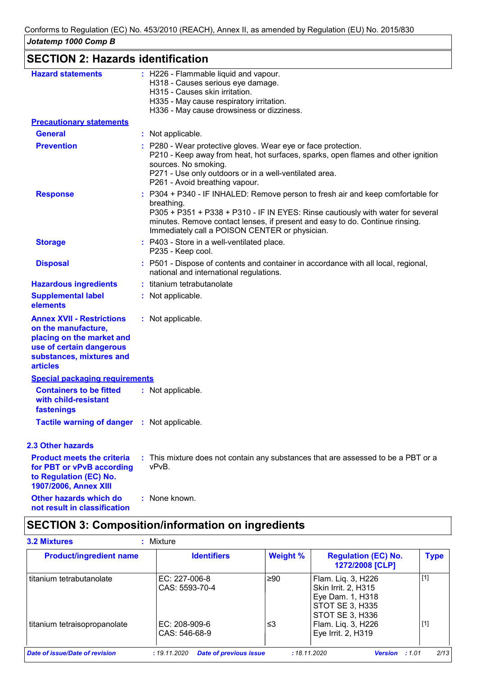| <b>SECTION 2: Hazards identification</b>                                                                                                                        |                                                                                                                                                                                                                                                                                                                    |
|-----------------------------------------------------------------------------------------------------------------------------------------------------------------|--------------------------------------------------------------------------------------------------------------------------------------------------------------------------------------------------------------------------------------------------------------------------------------------------------------------|
| <b>Hazard statements</b>                                                                                                                                        | : H226 - Flammable liquid and vapour.<br>H318 - Causes serious eye damage.<br>H315 - Causes skin irritation.<br>H335 - May cause respiratory irritation.<br>H336 - May cause drowsiness or dizziness.                                                                                                              |
| <b>Precautionary statements</b>                                                                                                                                 |                                                                                                                                                                                                                                                                                                                    |
| <b>General</b>                                                                                                                                                  | : Not applicable.                                                                                                                                                                                                                                                                                                  |
| <b>Prevention</b>                                                                                                                                               | : P280 - Wear protective gloves. Wear eye or face protection.<br>P210 - Keep away from heat, hot surfaces, sparks, open flames and other ignition<br>sources. No smoking.<br>P271 - Use only outdoors or in a well-ventilated area.<br>P261 - Avoid breathing vapour.                                              |
| <b>Response</b>                                                                                                                                                 | : P304 + P340 - IF INHALED: Remove person to fresh air and keep comfortable for<br>breathing.<br>P305 + P351 + P338 + P310 - IF IN EYES: Rinse cautiously with water for several<br>minutes. Remove contact lenses, if present and easy to do. Continue rinsing.<br>Immediately call a POISON CENTER or physician. |
| <b>Storage</b>                                                                                                                                                  | : P403 - Store in a well-ventilated place.<br>P235 - Keep cool.                                                                                                                                                                                                                                                    |
| <b>Disposal</b>                                                                                                                                                 | : P501 - Dispose of contents and container in accordance with all local, regional,<br>national and international regulations.                                                                                                                                                                                      |
| <b>Hazardous ingredients</b>                                                                                                                                    | : titanium tetrabutanolate                                                                                                                                                                                                                                                                                         |
| <b>Supplemental label</b><br>elements                                                                                                                           | : Not applicable.                                                                                                                                                                                                                                                                                                  |
| <b>Annex XVII - Restrictions</b><br>on the manufacture,<br>placing on the market and<br>use of certain dangerous<br>substances, mixtures and<br><b>articles</b> | : Not applicable.                                                                                                                                                                                                                                                                                                  |
| <b>Special packaging requirements</b>                                                                                                                           |                                                                                                                                                                                                                                                                                                                    |
| <b>Containers to be fitted</b><br>with child-resistant<br>fastenings                                                                                            | : Not applicable.                                                                                                                                                                                                                                                                                                  |
| <b>Tactile warning of danger : Not applicable.</b>                                                                                                              |                                                                                                                                                                                                                                                                                                                    |
| <b>2.3 Other hazards</b>                                                                                                                                        |                                                                                                                                                                                                                                                                                                                    |
| <b>Product meets the criteria</b><br>for PBT or vPvB according<br>to Regulation (EC) No.<br>1907/2006, Annex XIII                                               | : This mixture does not contain any substances that are assessed to be a PBT or a<br>vPvB.                                                                                                                                                                                                                         |
| Other hazards which do<br>not result in classification                                                                                                          | : None known.                                                                                                                                                                                                                                                                                                      |

# **SECTION 3: Composition/information on ingredients**

| <b>Product/ingredient name</b> | <b>Identifiers</b>              | <b>Weight %</b> | <b>Regulation (EC) No.</b><br>1272/2008 [CLP]                                                       | Type  |
|--------------------------------|---------------------------------|-----------------|-----------------------------------------------------------------------------------------------------|-------|
| titanium tetrabutanolate       | EC: 227-006-8<br>CAS: 5593-70-4 | ≥90             | Flam. Liq. 3, H226<br>Skin Irrit. 2, H315<br>Eye Dam. 1, H318<br>STOT SE 3, H335<br>STOT SE 3, H336 | $[1]$ |
| titanium tetraisopropanolate   | EC: 208-909-6<br>CAS: 546-68-9  | ≤3              | Flam. Liq. 3, H226<br>Eye Irrit. 2, H319                                                            | $[1]$ |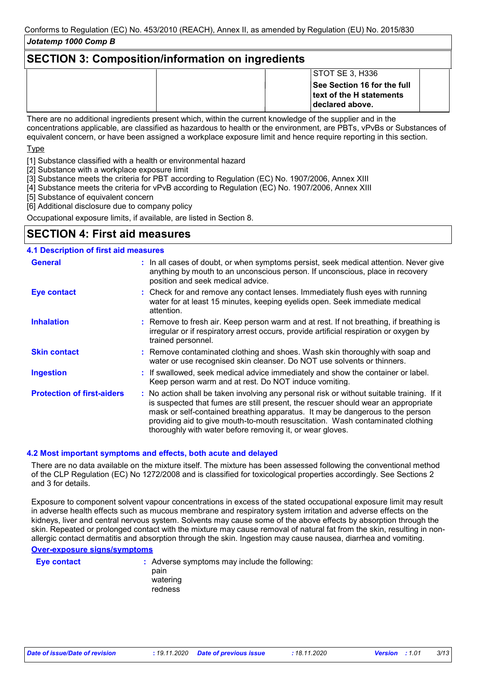### **SECTION 3: Composition/information on ingredients**

| STOTSE 3, H336              |
|-----------------------------|
| See Section 16 for the full |
| text of the H statements    |
| declared above.             |

There are no additional ingredients present which, within the current knowledge of the supplier and in the concentrations applicable, are classified as hazardous to health or the environment, are PBTs, vPvBs or Substances of equivalent concern, or have been assigned a workplace exposure limit and hence require reporting in this section.

Type

[1] Substance classified with a health or environmental hazard

[2] Substance with a workplace exposure limit

- [3] Substance meets the criteria for PBT according to Regulation (EC) No. 1907/2006, Annex XIII
- [4] Substance meets the criteria for vPvB according to Regulation (EC) No. 1907/2006, Annex XIII

[5] Substance of equivalent concern

[6] Additional disclosure due to company policy

Occupational exposure limits, if available, are listed in Section 8.

### **SECTION 4: First aid measures**

### **4.1 Description of first aid measures**

| <b>General</b>                    | : In all cases of doubt, or when symptoms persist, seek medical attention. Never give<br>anything by mouth to an unconscious person. If unconscious, place in recovery<br>position and seek medical advice.                                                                                                                                                                                                     |
|-----------------------------------|-----------------------------------------------------------------------------------------------------------------------------------------------------------------------------------------------------------------------------------------------------------------------------------------------------------------------------------------------------------------------------------------------------------------|
| Eye contact                       | : Check for and remove any contact lenses. Immediately flush eyes with running<br>water for at least 15 minutes, keeping eyelids open. Seek immediate medical<br>attention.                                                                                                                                                                                                                                     |
| <b>Inhalation</b>                 | : Remove to fresh air. Keep person warm and at rest. If not breathing, if breathing is<br>irregular or if respiratory arrest occurs, provide artificial respiration or oxygen by<br>trained personnel.                                                                                                                                                                                                          |
| <b>Skin contact</b>               | : Remove contaminated clothing and shoes. Wash skin thoroughly with soap and<br>water or use recognised skin cleanser. Do NOT use solvents or thinners.                                                                                                                                                                                                                                                         |
| <b>Ingestion</b>                  | : If swallowed, seek medical advice immediately and show the container or label.<br>Keep person warm and at rest. Do NOT induce vomiting.                                                                                                                                                                                                                                                                       |
| <b>Protection of first-aiders</b> | : No action shall be taken involving any personal risk or without suitable training. If it<br>is suspected that fumes are still present, the rescuer should wear an appropriate<br>mask or self-contained breathing apparatus. It may be dangerous to the person<br>providing aid to give mouth-to-mouth resuscitation. Wash contaminated clothing<br>thoroughly with water before removing it, or wear gloves. |

#### **4.2 Most important symptoms and effects, both acute and delayed**

There are no data available on the mixture itself. The mixture has been assessed following the conventional method of the CLP Regulation (EC) No 1272/2008 and is classified for toxicological properties accordingly. See Sections 2 and 3 for details.

Exposure to component solvent vapour concentrations in excess of the stated occupational exposure limit may result in adverse health effects such as mucous membrane and respiratory system irritation and adverse effects on the kidneys, liver and central nervous system. Solvents may cause some of the above effects by absorption through the skin. Repeated or prolonged contact with the mixture may cause removal of natural fat from the skin, resulting in nonallergic contact dermatitis and absorption through the skin. Ingestion may cause nausea, diarrhea and vomiting.

**Over-exposure signs/symptoms**

**Eye contact :** Adverse symptoms may include the following: pain watering redness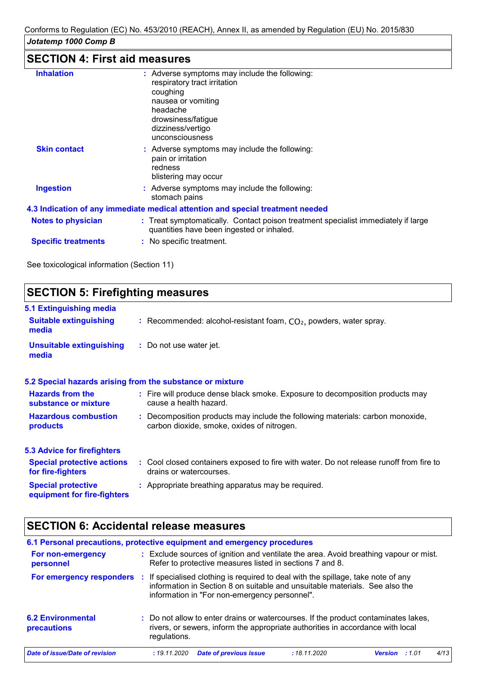# **SECTION 4: First aid measures**

| <b>Inhalation</b>          | : Adverse symptoms may include the following:<br>respiratory tract irritation<br>coughing<br>nausea or vomiting<br>headache<br>drowsiness/fatigue<br>dizziness/vertigo<br>unconsciousness |
|----------------------------|-------------------------------------------------------------------------------------------------------------------------------------------------------------------------------------------|
| <b>Skin contact</b>        | : Adverse symptoms may include the following:<br>pain or irritation<br>redness<br>blistering may occur                                                                                    |
| <b>Ingestion</b>           | : Adverse symptoms may include the following:<br>stomach pains                                                                                                                            |
|                            | 4.3 Indication of any immediate medical attention and special treatment needed                                                                                                            |
| <b>Notes to physician</b>  | : Treat symptomatically. Contact poison treatment specialist immediately if large<br>quantities have been ingested or inhaled.                                                            |
| <b>Specific treatments</b> | : No specific treatment.                                                                                                                                                                  |
|                            |                                                                                                                                                                                           |

See toxicological information (Section 11)

| <b>SECTION 5: Firefighting measures</b>                           |                                                                                                                              |  |  |  |  |  |
|-------------------------------------------------------------------|------------------------------------------------------------------------------------------------------------------------------|--|--|--|--|--|
| 5.1 Extinguishing media<br><b>Suitable extinguishing</b><br>media | : Recommended: alcohol-resistant foam, $CO2$ , powders, water spray.                                                         |  |  |  |  |  |
| <b>Unsuitable extinguishing</b><br>media                          | : Do not use water jet.                                                                                                      |  |  |  |  |  |
|                                                                   | 5.2 Special hazards arising from the substance or mixture                                                                    |  |  |  |  |  |
| <b>Hazards from the</b><br>substance or mixture                   | : Fire will produce dense black smoke. Exposure to decomposition products may<br>cause a health hazard.                      |  |  |  |  |  |
| <b>Hazardous combustion</b><br>products                           | : Decomposition products may include the following materials: carbon monoxide,<br>carbon dioxide, smoke, oxides of nitrogen. |  |  |  |  |  |
| <b>5.3 Advice for firefighters</b>                                |                                                                                                                              |  |  |  |  |  |
| <b>Special protective actions</b><br>for fire-fighters            | : Cool closed containers exposed to fire with water. Do not release runoff from fire to<br>drains or watercourses.           |  |  |  |  |  |
| <b>Special protective</b><br>equipment for fire-fighters          | : Appropriate breathing apparatus may be required.                                                                           |  |  |  |  |  |
|                                                                   |                                                                                                                              |  |  |  |  |  |

# **SECTION 6: Accidental release measures**

| regulations. |  |                               |                                                                                                                          |                                                          |                                                                                                                                                                                                                                                                                                                                                                                                                                            |
|--------------|--|-------------------------------|--------------------------------------------------------------------------------------------------------------------------|----------------------------------------------------------|--------------------------------------------------------------------------------------------------------------------------------------------------------------------------------------------------------------------------------------------------------------------------------------------------------------------------------------------------------------------------------------------------------------------------------------------|
| : 19.11.2020 |  | : 18.11.2020                  |                                                                                                                          | : 1.01                                                   | 4/13                                                                                                                                                                                                                                                                                                                                                                                                                                       |
|              |  | <b>Date of previous issue</b> | 6.1 Personal precautions, protective equipment and emergency procedures<br>information in "For non-emergency personnel". | Refer to protective measures listed in sections 7 and 8. | : Exclude sources of ignition and ventilate the area. Avoid breathing vapour or mist.<br>If specialised clothing is required to deal with the spillage, take note of any<br>information in Section 8 on suitable and unsuitable materials. See also the<br>: Do not allow to enter drains or watercourses. If the product contaminates lakes,<br>rivers, or sewers, inform the appropriate authorities in accordance with local<br>Version |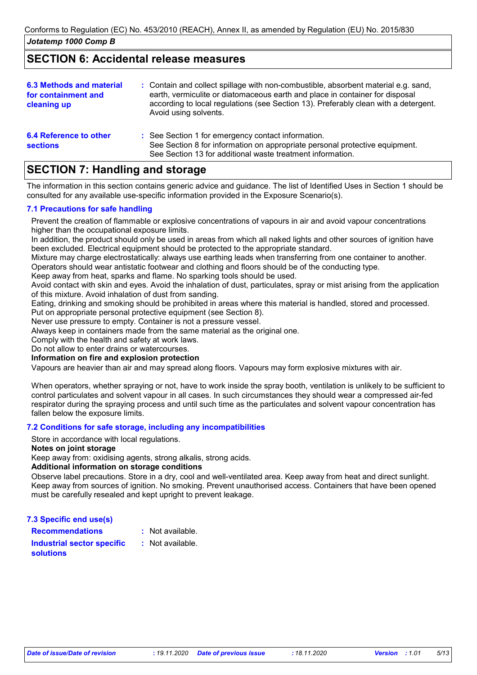### **SECTION 6: Accidental release measures**

| <b>6.3 Methods and material</b><br>for containment and<br>cleaning up | : Contain and collect spillage with non-combustible, absorbent material e.g. sand,<br>earth, vermiculite or diatomaceous earth and place in container for disposal<br>according to local regulations (see Section 13). Preferably clean with a detergent.<br>Avoid using solvents. |
|-----------------------------------------------------------------------|------------------------------------------------------------------------------------------------------------------------------------------------------------------------------------------------------------------------------------------------------------------------------------|
| 6.4 Reference to other<br><b>sections</b>                             | : See Section 1 for emergency contact information.<br>See Section 8 for information on appropriate personal protective equipment.<br>See Section 13 for additional waste treatment information.                                                                                    |

## **SECTION 7: Handling and storage**

The information in this section contains generic advice and guidance. The list of Identified Uses in Section 1 should be consulted for any available use-specific information provided in the Exposure Scenario(s).

#### **7.1 Precautions for safe handling**

Prevent the creation of flammable or explosive concentrations of vapours in air and avoid vapour concentrations higher than the occupational exposure limits.

In addition, the product should only be used in areas from which all naked lights and other sources of ignition have been excluded. Electrical equipment should be protected to the appropriate standard.

Mixture may charge electrostatically: always use earthing leads when transferring from one container to another. Operators should wear antistatic footwear and clothing and floors should be of the conducting type.

Keep away from heat, sparks and flame. No sparking tools should be used.

Avoid contact with skin and eyes. Avoid the inhalation of dust, particulates, spray or mist arising from the application of this mixture. Avoid inhalation of dust from sanding.

Eating, drinking and smoking should be prohibited in areas where this material is handled, stored and processed.

Put on appropriate personal protective equipment (see Section 8).

Never use pressure to empty. Container is not a pressure vessel.

Always keep in containers made from the same material as the original one.

Comply with the health and safety at work laws.

Do not allow to enter drains or watercourses.

#### **Information on fire and explosion protection**

Vapours are heavier than air and may spread along floors. Vapours may form explosive mixtures with air.

When operators, whether spraying or not, have to work inside the spray booth, ventilation is unlikely to be sufficient to control particulates and solvent vapour in all cases. In such circumstances they should wear a compressed air-fed respirator during the spraying process and until such time as the particulates and solvent vapour concentration has fallen below the exposure limits.

#### **7.2 Conditions for safe storage, including any incompatibilities**

Store in accordance with local regulations.

#### **Notes on joint storage**

Keep away from: oxidising agents, strong alkalis, strong acids.

#### **Additional information on storage conditions**

Observe label precautions. Store in a dry, cool and well-ventilated area. Keep away from heat and direct sunlight. Keep away from sources of ignition. No smoking. Prevent unauthorised access. Containers that have been opened must be carefully resealed and kept upright to prevent leakage.

**7.3 Specific end use(s)**

**Recommendations : Industrial sector specific :** : Not available.

**solutions**

: Not available.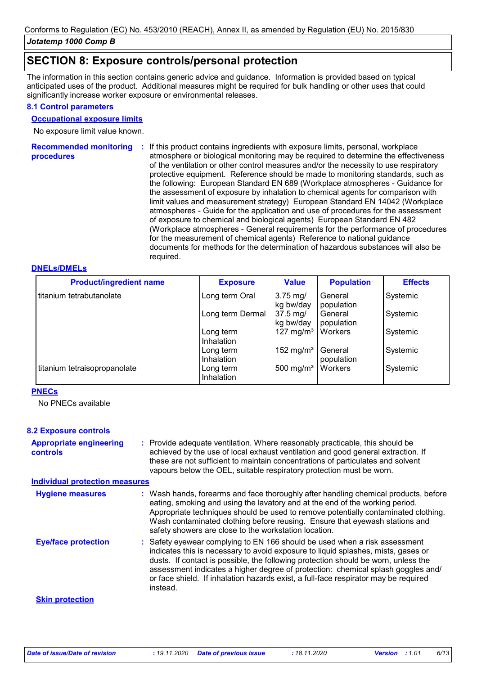### **SECTION 8: Exposure controls/personal protection**

The information in this section contains generic advice and guidance. Information is provided based on typical anticipated uses of the product. Additional measures might be required for bulk handling or other uses that could significantly increase worker exposure or environmental releases.

#### **8.1 Control parameters**

#### **Occupational exposure limits**

No exposure limit value known.

**Recommended monitoring**  If this product contains ingredients with exposure limits, personal, workplace **: procedures** atmosphere or biological monitoring may be required to determine the effectiveness of the ventilation or other control measures and/or the necessity to use respiratory protective equipment. Reference should be made to monitoring standards, such as the following: European Standard EN 689 (Workplace atmospheres - Guidance for the assessment of exposure by inhalation to chemical agents for comparison with limit values and measurement strategy) European Standard EN 14042 (Workplace atmospheres - Guide for the application and use of procedures for the assessment of exposure to chemical and biological agents) European Standard EN 482 (Workplace atmospheres - General requirements for the performance of procedures for the measurement of chemical agents) Reference to national guidance documents for methods for the determination of hazardous substances will also be required.

#### **DNELs/DMELs**

| <b>Product/ingredient name</b> | <b>Exposure</b>                | <b>Value</b>                   | <b>Population</b>     | <b>Effects</b> |
|--------------------------------|--------------------------------|--------------------------------|-----------------------|----------------|
| titanium tetrabutanolate       | Long term Oral                 | $3.75$ mg/<br>kg bw/day        | General<br>population | Systemic       |
|                                | Long term Dermal               | $37.5 \text{ mg}$<br>kg bw/day | General<br>population | Systemic       |
|                                | Long term<br><b>Inhalation</b> | 127 mg/m <sup>3</sup>          | Workers               | Systemic       |
|                                | Long term<br>Inhalation        | 152 mg/m <sup>3</sup>          | General<br>population | Systemic       |
| titanium tetraisopropanolate   | Long term<br>Inhalation        | 500 mg/m <sup>3</sup>          | Workers               | Systemic       |

#### **PNECs**

No PNECs available

#### **8.2 Exposure controls**

| <b>Appropriate engineering</b> | : Provide adequate ventilation. Where reasonably practicable, this should be     |
|--------------------------------|----------------------------------------------------------------------------------|
| controls                       | achieved by the use of local exhaust ventilation and good general extraction. If |
|                                | these are not sufficient to maintain concentrations of particulates and solvent  |
|                                | vapours below the OEL, suitable respiratory protection must be worn.             |

#### **Individual protection measures**

| <b>Hygiene measures</b>    | : Wash hands, forearms and face thoroughly after handling chemical products, before<br>eating, smoking and using the lavatory and at the end of the working period.<br>Appropriate techniques should be used to remove potentially contaminated clothing.<br>Wash contaminated clothing before reusing. Ensure that eyewash stations and<br>safety showers are close to the workstation location.                                            |
|----------------------------|----------------------------------------------------------------------------------------------------------------------------------------------------------------------------------------------------------------------------------------------------------------------------------------------------------------------------------------------------------------------------------------------------------------------------------------------|
| <b>Eye/face protection</b> | : Safety eyewear complying to EN 166 should be used when a risk assessment<br>indicates this is necessary to avoid exposure to liquid splashes, mists, gases or<br>dusts. If contact is possible, the following protection should be worn, unless the<br>assessment indicates a higher degree of protection: chemical splash goggles and/<br>or face shield. If inhalation hazards exist, a full-face respirator may be required<br>instead. |
| <b>Skin protection</b>     |                                                                                                                                                                                                                                                                                                                                                                                                                                              |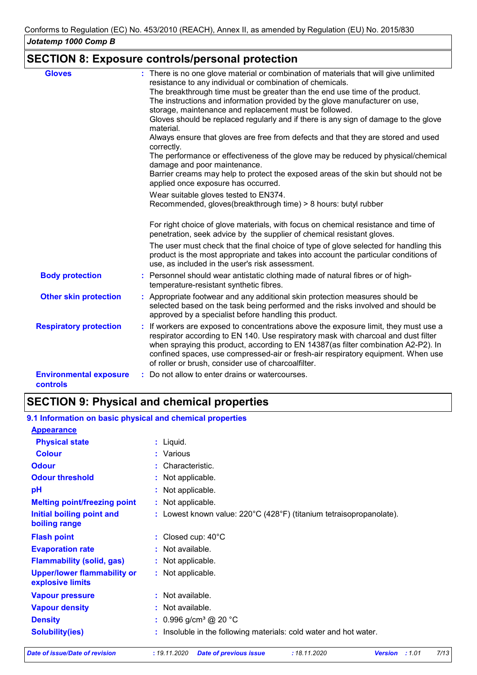### **SECTION 8: Exposure controls/personal protection**

| <b>Gloves</b>                                    | : There is no one glove material or combination of materials that will give unlimited<br>resistance to any individual or combination of chemicals.                                                                                                                                                                                                                                                          |
|--------------------------------------------------|-------------------------------------------------------------------------------------------------------------------------------------------------------------------------------------------------------------------------------------------------------------------------------------------------------------------------------------------------------------------------------------------------------------|
|                                                  | The breakthrough time must be greater than the end use time of the product.<br>The instructions and information provided by the glove manufacturer on use,                                                                                                                                                                                                                                                  |
|                                                  | storage, maintenance and replacement must be followed.                                                                                                                                                                                                                                                                                                                                                      |
|                                                  | Gloves should be replaced regularly and if there is any sign of damage to the glove<br>material.                                                                                                                                                                                                                                                                                                            |
|                                                  | Always ensure that gloves are free from defects and that they are stored and used<br>correctly.                                                                                                                                                                                                                                                                                                             |
|                                                  | The performance or effectiveness of the glove may be reduced by physical/chemical<br>damage and poor maintenance.                                                                                                                                                                                                                                                                                           |
|                                                  | Barrier creams may help to protect the exposed areas of the skin but should not be<br>applied once exposure has occurred.                                                                                                                                                                                                                                                                                   |
|                                                  | Wear suitable gloves tested to EN374.                                                                                                                                                                                                                                                                                                                                                                       |
|                                                  | Recommended, gloves(breakthrough time) > 8 hours: butyl rubber                                                                                                                                                                                                                                                                                                                                              |
|                                                  | For right choice of glove materials, with focus on chemical resistance and time of<br>penetration, seek advice by the supplier of chemical resistant gloves.                                                                                                                                                                                                                                                |
|                                                  | The user must check that the final choice of type of glove selected for handling this<br>product is the most appropriate and takes into account the particular conditions of<br>use, as included in the user's risk assessment.                                                                                                                                                                             |
| <b>Body protection</b>                           | : Personnel should wear antistatic clothing made of natural fibres or of high-<br>temperature-resistant synthetic fibres.                                                                                                                                                                                                                                                                                   |
| <b>Other skin protection</b>                     | : Appropriate footwear and any additional skin protection measures should be<br>selected based on the task being performed and the risks involved and should be<br>approved by a specialist before handling this product.                                                                                                                                                                                   |
| <b>Respiratory protection</b>                    | : If workers are exposed to concentrations above the exposure limit, they must use a<br>respirator according to EN 140. Use respiratory mask with charcoal and dust filter<br>when spraying this product, according to EN 14387(as filter combination A2-P2). In<br>confined spaces, use compressed-air or fresh-air respiratory equipment. When use<br>of roller or brush, consider use of charcoalfilter. |
| <b>Environmental exposure</b><br><b>controls</b> | : Do not allow to enter drains or watercourses.                                                                                                                                                                                                                                                                                                                                                             |

## **SECTION 9: Physical and chemical properties**

#### : Lowest known value: 220°C (428°F) (titanium tetraisopropanolate). **Physical state Melting point/freezing point Initial boiling point and boiling range Vapour pressure Density Vapour density Solubility(ies)** Liquid. **:** Not applicable. **:** 0.996 g/cm³ @ 20 °C **:** Not available. **:** Not available. **: :** Insoluble in the following materials: cold water and hot water. **Odour** Characteristic. **pH Colour** Various **: Evaporation rate Flash point**  $\qquad \qquad : \text{ Closed cup: } 40^{\circ} \text{C}$ Not applicable. **: :** Not applicable. **Odour threshold Upper/lower flammability or explosive limits :** Not applicable. : Not available. **9.1 Information on basic physical and chemical properties Appearance Flammability (solid, gas) :** : Not applicable.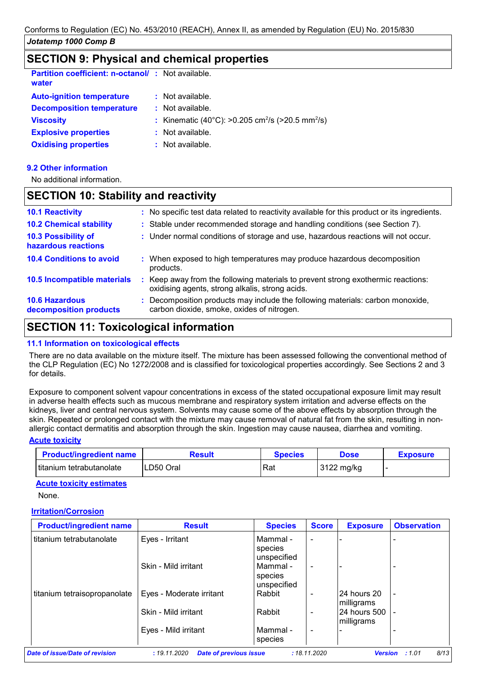### **SECTION 9: Physical and chemical properties**

| <b>Partition coefficient: n-octanol/: Not available.</b><br>water |                                                                          |
|-------------------------------------------------------------------|--------------------------------------------------------------------------|
| <b>Auto-ignition temperature</b>                                  | $:$ Not available.                                                       |
| <b>Decomposition temperature</b>                                  | $\therefore$ Not available.                                              |
| <b>Viscosity</b>                                                  | : Kinematic (40°C): >0.205 cm <sup>2</sup> /s (>20.5 mm <sup>2</sup> /s) |
| <b>Explosive properties</b>                                       | : Not available.                                                         |
| <b>Oxidising properties</b>                                       | $:$ Not available.                                                       |

#### **9.2 Other information**

No additional information.

### **SECTION 10: Stability and reactivity**

| <b>10.1 Reactivity</b>                          | : No specific test data related to reactivity available for this product or its ingredients.                                      |
|-------------------------------------------------|-----------------------------------------------------------------------------------------------------------------------------------|
| <b>10.2 Chemical stability</b>                  | : Stable under recommended storage and handling conditions (see Section 7).                                                       |
| 10.3 Possibility of<br>hazardous reactions      | : Under normal conditions of storage and use, hazardous reactions will not occur.                                                 |
| <b>10.4 Conditions to avoid</b>                 | : When exposed to high temperatures may produce hazardous decomposition<br>products.                                              |
| 10.5 Incompatible materials                     | Keep away from the following materials to prevent strong exothermic reactions:<br>oxidising agents, strong alkalis, strong acids. |
| <b>10.6 Hazardous</b><br>decomposition products | : Decomposition products may include the following materials: carbon monoxide,<br>carbon dioxide, smoke, oxides of nitrogen.      |

## **SECTION 11: Toxicological information**

#### **11.1 Information on toxicological effects**

There are no data available on the mixture itself. The mixture has been assessed following the conventional method of the CLP Regulation (EC) No 1272/2008 and is classified for toxicological properties accordingly. See Sections 2 and 3 for details.

Exposure to component solvent vapour concentrations in excess of the stated occupational exposure limit may result in adverse health effects such as mucous membrane and respiratory system irritation and adverse effects on the kidneys, liver and central nervous system. Solvents may cause some of the above effects by absorption through the skin. Repeated or prolonged contact with the mixture may cause removal of natural fat from the skin, resulting in nonallergic contact dermatitis and absorption through the skin. Ingestion may cause nausea, diarrhea and vomiting.

#### **Acute toxicity**

| <b>Product/ingredient name</b> | Result    | Species | Dose       | <b>Exposure</b> |
|--------------------------------|-----------|---------|------------|-----------------|
| l titanium tetrabutanolate     | LD50 Oral | Rat     | 3122 mg/kg |                 |

#### **Acute toxicity estimates**

None.

#### **Irritation/Corrosion**

| <b>Product/ingredient name</b> | <b>Result</b>            | <b>Species</b>      | <b>Score</b>             | <b>Exposure</b>            | <b>Observation</b> |
|--------------------------------|--------------------------|---------------------|--------------------------|----------------------------|--------------------|
| titanium tetrabutanolate       | Eyes - Irritant          | Mammal -<br>species | $\blacksquare$           |                            |                    |
|                                |                          | unspecified         |                          |                            |                    |
|                                | Skin - Mild irritant     | Mammal -<br>species | $\blacksquare$           |                            |                    |
|                                |                          | unspecified         |                          |                            |                    |
| titanium tetraisopropanolate   | Eyes - Moderate irritant | Rabbit              | $\overline{\phantom{a}}$ | 24 hours 20<br>milligrams  | $\blacksquare$     |
|                                | Skin - Mild irritant     | Rabbit              | $\overline{\phantom{0}}$ | 24 hours 500<br>milligrams | $\blacksquare$     |
|                                | Eyes - Mild irritant     | Mammal -<br>species | $\blacksquare$           |                            |                    |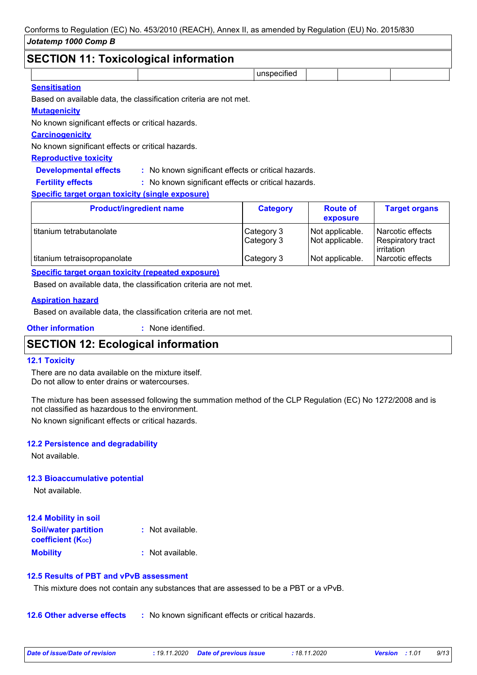## **SECTION 11: Toxicological information**

| SECTION 11: TOXICOlOGICALINTOrmation      |             |  |  |
|-------------------------------------------|-------------|--|--|
|                                           | unspecified |  |  |
| $\sim$ $\sim$ $\sim$ $\sim$ $\sim$ $\sim$ |             |  |  |

#### **Sensitisation**

Based on available data, the classification criteria are not met.

#### **Mutagenicity**

No known significant effects or critical hazards.

#### **Carcinogenicity**

No known significant effects or critical hazards.

#### **Reproductive toxicity**

**Developmental effects :** : No known significant effects or critical hazards.

: No known significant effects or critical hazards. **Fertility effects :**

#### **Specific target organ toxicity (single exposure)**

| <b>Product/ingredient name</b> | <b>Category</b>          | <b>Route of</b><br>exposure        | <b>Target organs</b>                           |
|--------------------------------|--------------------------|------------------------------------|------------------------------------------------|
| titanium tetrabutanolate       | Category 3<br>Category 3 | Not applicable.<br>Not applicable. | l Narcotic effects<br><b>Respiratory tract</b> |
| titanium tetraisopropanolate   | Category 3               | Not applicable.                    | irritation<br>Narcotic effects                 |

#### **Specific target organ toxicity (repeated exposure)**

Based on available data, the classification criteria are not met.

#### **Aspiration hazard**

Based on available data, the classification criteria are not met.

**Other information :** : None identified.

### **SECTION 12: Ecological information**

#### **12.1 Toxicity**

There are no data available on the mixture itself. Do not allow to enter drains or watercourses.

The mixture has been assessed following the summation method of the CLP Regulation (EC) No 1272/2008 and is not classified as hazardous to the environment.

No known significant effects or critical hazards.

#### **12.2 Persistence and degradability**

Not available.

#### **12.3 Bioaccumulative potential**

Not available.

| 12.4 Mobility in soil                                   |                  |
|---------------------------------------------------------|------------------|
| <b>Soil/water partition</b><br><b>coefficient (Koc)</b> | : Not available. |
| <b>Mobility</b>                                         | : Not available. |

#### **12.5 Results of PBT and vPvB assessment**

This mixture does not contain any substances that are assessed to be a PBT or a vPvB.

**12.6 Other adverse effects** : No known significant effects or critical hazards.

| Date of issue/Date of revision | : 19.11.2020 Date of previous issue | : 18.11.2020 | <b>Version</b> : 1.01 | 9/13 |
|--------------------------------|-------------------------------------|--------------|-----------------------|------|
|                                |                                     |              |                       |      |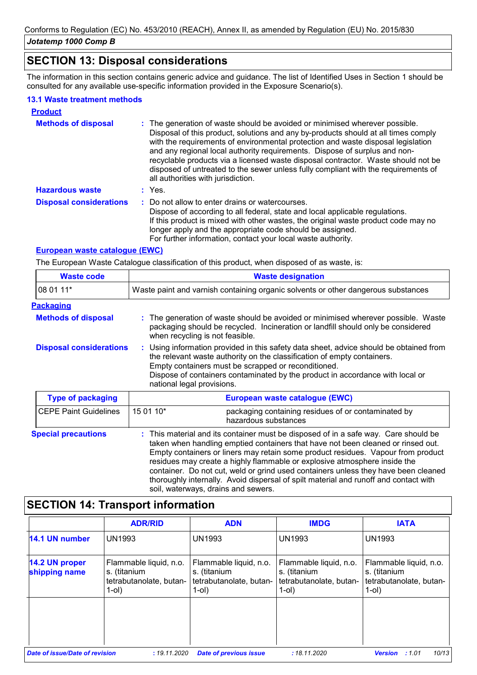### **SECTION 13: Disposal considerations**

The information in this section contains generic advice and guidance. The list of Identified Uses in Section 1 should be consulted for any available use-specific information provided in the Exposure Scenario(s).

#### **13.1 Waste treatment methods**

| <b>Product</b>                 |                                                                                                                                                                                                                                                                                                                                                                                                                                                                                                                                                      |
|--------------------------------|------------------------------------------------------------------------------------------------------------------------------------------------------------------------------------------------------------------------------------------------------------------------------------------------------------------------------------------------------------------------------------------------------------------------------------------------------------------------------------------------------------------------------------------------------|
| <b>Methods of disposal</b>     | : The generation of waste should be avoided or minimised wherever possible.<br>Disposal of this product, solutions and any by-products should at all times comply<br>with the requirements of environmental protection and waste disposal legislation<br>and any regional local authority requirements. Dispose of surplus and non-<br>recyclable products via a licensed waste disposal contractor. Waste should not be<br>disposed of untreated to the sewer unless fully compliant with the requirements of<br>all authorities with jurisdiction. |
| <b>Hazardous waste</b>         | : Yes.                                                                                                                                                                                                                                                                                                                                                                                                                                                                                                                                               |
| <b>Disposal considerations</b> | : Do not allow to enter drains or watercourses.<br>Dispose of according to all federal, state and local applicable regulations.<br>If this product is mixed with other wastes, the original waste product code may no<br>longer apply and the appropriate code should be assigned.<br>For further information, contact your local waste authority.                                                                                                                                                                                                   |

### **European waste catalogue (EWC)**

The European Waste Catalogue classification of this product, when disposed of as waste, is:

| <b>Waste code</b>              | <b>Waste designation</b>                                                          |                                                                                                                                                                                                                                                                                                           |  |
|--------------------------------|-----------------------------------------------------------------------------------|-----------------------------------------------------------------------------------------------------------------------------------------------------------------------------------------------------------------------------------------------------------------------------------------------------------|--|
| 08 01 11*                      | Waste paint and varnish containing organic solvents or other dangerous substances |                                                                                                                                                                                                                                                                                                           |  |
| <b>Packaging</b>               |                                                                                   |                                                                                                                                                                                                                                                                                                           |  |
| <b>Methods of disposal</b>     |                                                                                   | : The generation of waste should be avoided or minimised wherever possible. Waste<br>packaging should be recycled. Incineration or landfill should only be considered<br>when recycling is not feasible.                                                                                                  |  |
| <b>Disposal considerations</b> | national legal provisions.                                                        | : Using information provided in this safety data sheet, advice should be obtained from<br>the relevant waste authority on the classification of empty containers.<br>Empty containers must be scrapped or reconditioned.<br>Dispose of containers contaminated by the product in accordance with local or |  |
| <b>Type of packaging</b>       |                                                                                   | European waste catalogue (EWC)                                                                                                                                                                                                                                                                            |  |
| <b>CEPE Paint Guidelines</b>   | 15 01 10*                                                                         | packaging containing residues of or contaminated by<br>hazardous substances                                                                                                                                                                                                                               |  |
| <b>Special precautions</b>     |                                                                                   | : This material and its container must be disposed of in a safe way. Care should be<br>taken when handling emptied containers that have not been cleaned or rinsed out.<br>Empty containers or liners may retain some product residues Napour from product                                                |  |

Empty containers or liners may retain some product residues. Vapour from product residues may create a highly flammable or explosive atmosphere inside the container. Do not cut, weld or grind used containers unless they have been cleaned thoroughly internally. Avoid dispersal of spilt material and runoff and contact with soil, waterways, drains and sewers.

### **SECTION 14: Transport information**

|                                       | <b>ADR/RID</b>                                                                   | <b>ADN</b>                                                                    | <b>IMDG</b>                                                                   | <b>IATA</b>                                                                   |
|---------------------------------------|----------------------------------------------------------------------------------|-------------------------------------------------------------------------------|-------------------------------------------------------------------------------|-------------------------------------------------------------------------------|
| 14.1 UN number                        | <b>UN1993</b>                                                                    | <b>UN1993</b>                                                                 | <b>UN1993</b>                                                                 | <b>UN1993</b>                                                                 |
| 14.2 UN proper<br>shipping name       | Flammable liquid, n.o.<br>s. (titanium<br>tetrabutanolate, butan-<br>$1$ -ol $)$ | Flammable liquid, n.o.<br>s. (titanium<br>tetrabutanolate, butan-<br>$1$ -ol) | Flammable liquid, n.o.<br>s. (titanium<br>tetrabutanolate, butan-<br>$1$ -ol) | Flammable liquid, n.o.<br>s. (titanium<br>tetrabutanolate, butan-<br>$1$ -ol) |
| <b>Date of issue/Date of revision</b> | : 19.11.2020                                                                     | <b>Date of previous issue</b>                                                 | : 18.11.2020                                                                  | 10/13<br><b>Version</b><br>:1.01                                              |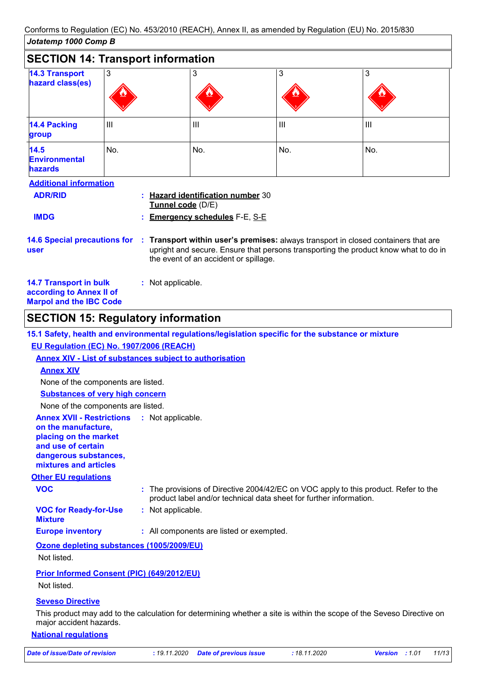| Jotatemp 1000 Comp B                                                                                             |                |                                                                                               |     |                                                                                                                                                                         |
|------------------------------------------------------------------------------------------------------------------|----------------|-----------------------------------------------------------------------------------------------|-----|-------------------------------------------------------------------------------------------------------------------------------------------------------------------------|
| <b>SECTION 14: Transport information</b>                                                                         |                |                                                                                               |     |                                                                                                                                                                         |
| <b>14.3 Transport</b><br>hazard class(es)                                                                        | 3              | 3                                                                                             | 3   | 3                                                                                                                                                                       |
| <b>14.4 Packing</b><br>group                                                                                     | $\mathbf{III}$ | Ш                                                                                             | III | $\mathbf{III}$                                                                                                                                                          |
| 14.5<br><b>Environmental</b><br><b>hazards</b>                                                                   | No.            | No.                                                                                           | No. | No.                                                                                                                                                                     |
| <b>Additional information</b><br><b>ADR/RID</b><br><b>IMDG</b>                                                   |                | : Hazard identification number 30<br>Tunnel code (D/E)<br><b>Emergency schedules F-E, S-E</b> |     |                                                                                                                                                                         |
| <b>14.6 Special precautions for</b><br>user                                                                      | ÷.             | the event of an accident or spillage.                                                         |     | Transport within user's premises: always transport in closed containers that are<br>upright and secure. Ensure that persons transporting the product know what to do in |
| <b>14.7 Transport in bulk</b><br>: Not applicable.<br>according to Annex II of<br><b>Marpol and the IBC Code</b> |                |                                                                                               |     |                                                                                                                                                                         |

# **SECTION 15: Regulatory information**

|                                                                                                                                                          | 15.1 Safety, health and environmental regulations/legislation specific for the substance or mixture                                                       |
|----------------------------------------------------------------------------------------------------------------------------------------------------------|-----------------------------------------------------------------------------------------------------------------------------------------------------------|
| EU Regulation (EC) No. 1907/2006 (REACH)                                                                                                                 |                                                                                                                                                           |
|                                                                                                                                                          | <b>Annex XIV - List of substances subject to authorisation</b>                                                                                            |
| <b>Annex XIV</b>                                                                                                                                         |                                                                                                                                                           |
| None of the components are listed.                                                                                                                       |                                                                                                                                                           |
| <b>Substances of very high concern</b>                                                                                                                   |                                                                                                                                                           |
| None of the components are listed.                                                                                                                       |                                                                                                                                                           |
| <b>Annex XVII - Restrictions</b><br>on the manufacture,<br>placing on the market<br>and use of certain<br>dangerous substances,<br>mixtures and articles | : Not applicable.                                                                                                                                         |
| <b>Other EU regulations</b>                                                                                                                              |                                                                                                                                                           |
| <b>VOC</b>                                                                                                                                               | : The provisions of Directive 2004/42/EC on VOC apply to this product. Refer to the<br>product label and/or technical data sheet for further information. |
| <b>VOC for Ready-for-Use</b><br><b>Mixture</b>                                                                                                           | : Not applicable.                                                                                                                                         |
| <b>Europe inventory</b>                                                                                                                                  | : All components are listed or exempted.                                                                                                                  |
| Ozone depleting substances (1005/2009/EU)                                                                                                                |                                                                                                                                                           |
| Not listed.                                                                                                                                              |                                                                                                                                                           |
| <b>Prior Informed Consent (PIC) (649/2012/EU)</b>                                                                                                        |                                                                                                                                                           |
| Not listed.                                                                                                                                              |                                                                                                                                                           |
| <b>Seveso Directive</b>                                                                                                                                  |                                                                                                                                                           |

This product may add to the calculation for determining whether a site is within the scope of the Seveso Directive on major accident hazards.

#### **National regulations**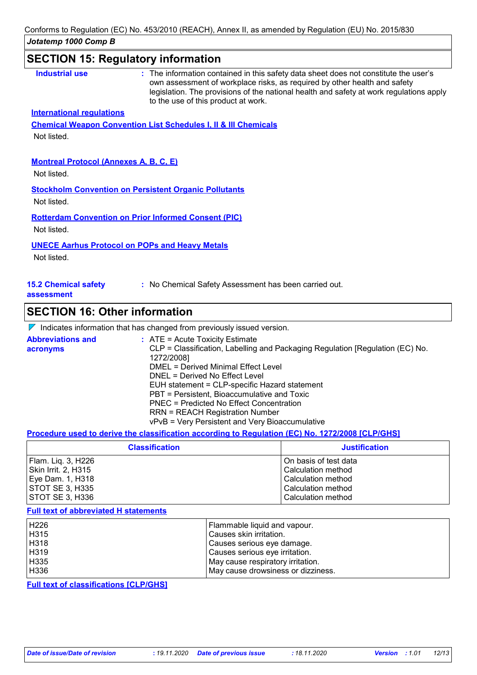# **SECTION 15: Regulatory information**

| <b>Industrial use</b>                         | : The information contained in this safety data sheet does not constitute the user's<br>own assessment of workplace risks, as required by other health and safety<br>legislation. The provisions of the national health and safety at work regulations apply<br>to the use of this product at work. |
|-----------------------------------------------|-----------------------------------------------------------------------------------------------------------------------------------------------------------------------------------------------------------------------------------------------------------------------------------------------------|
| <b>International regulations</b>              |                                                                                                                                                                                                                                                                                                     |
|                                               | <b>Chemical Weapon Convention List Schedules I, II &amp; III Chemicals</b>                                                                                                                                                                                                                          |
| Not listed.                                   |                                                                                                                                                                                                                                                                                                     |
|                                               |                                                                                                                                                                                                                                                                                                     |
| <b>Montreal Protocol (Annexes A, B, C, E)</b> |                                                                                                                                                                                                                                                                                                     |
| Not listed.                                   |                                                                                                                                                                                                                                                                                                     |
|                                               | <b>Stockholm Convention on Persistent Organic Pollutants</b>                                                                                                                                                                                                                                        |
| Not listed.                                   |                                                                                                                                                                                                                                                                                                     |
|                                               | <b>Rotterdam Convention on Prior Informed Consent (PIC)</b>                                                                                                                                                                                                                                         |
| Not listed.                                   |                                                                                                                                                                                                                                                                                                     |
|                                               |                                                                                                                                                                                                                                                                                                     |
|                                               | <b>UNECE Aarhus Protocol on POPs and Heavy Metals</b>                                                                                                                                                                                                                                               |
| Not listed.                                   |                                                                                                                                                                                                                                                                                                     |

#### **assessment**

## **SECTION 16: Other information**

|  | $\nabla$ Indicates information that has changed from previously issued version. |  |
|--|---------------------------------------------------------------------------------|--|
|  |                                                                                 |  |

| <b>Abbreviations and</b><br>acronyms | $\therefore$ ATE = Acute Toxicity Estimate<br>CLP = Classification, Labelling and Packaging Regulation [Regulation (EC) No.<br>1272/2008] |
|--------------------------------------|-------------------------------------------------------------------------------------------------------------------------------------------|
|                                      | DMEL = Derived Minimal Effect Level                                                                                                       |
|                                      | DNEL = Derived No Effect Level                                                                                                            |
|                                      | EUH statement = CLP-specific Hazard statement                                                                                             |
|                                      | PBT = Persistent, Bioaccumulative and Toxic                                                                                               |
|                                      | PNEC = Predicted No Effect Concentration                                                                                                  |
|                                      | <b>RRN = REACH Registration Number</b>                                                                                                    |
|                                      | vPvB = Very Persistent and Very Bioaccumulative                                                                                           |

#### **Procedure used to derive the classification according to Regulation (EC) No. 1272/2008 [CLP/GHS]**

| <b>Classification</b> | <b>Justification</b>  |
|-----------------------|-----------------------|
| Flam. Liq. 3, H226    | On basis of test data |
| Skin Irrit. 2, H315   | Calculation method    |
| Eye Dam. 1, H318      | Calculation method    |
| STOT SE 3, H335       | Calculation method    |
| STOT SE 3, H336       | Calculation method    |

#### **Full text of abbreviated H statements**

| H226             | Flammable liquid and vapour.       |
|------------------|------------------------------------|
| H315             | Causes skin irritation.            |
| H318             | Causes serious eye damage.         |
| H319             | Causes serious eye irritation.     |
| H335             | May cause respiratory irritation.  |
| H <sub>336</sub> | May cause drowsiness or dizziness. |

**Full text of classifications [CLP/GHS]**